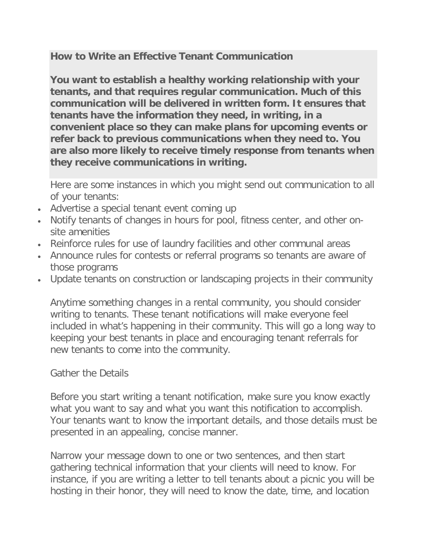## **How to Write an Effective Tenant Communication**

**You want to establish a healthy working relationship with your tenants, and that requires regular communication. Much of this communication will be delivered in written form. It ensures that tenants have the information they need, in writing, in a convenient place so they can make plans for upcoming events or refer back to previous communications when they need to. You are also more likely to receive timely response from tenants when they receive communications in writing.**

Here are some instances in which you might send out communication to all of your tenants:

- Advertise a special tenant event coming up
- Notify tenants of changes in hours for pool, fitness center, and other onsite amenities
- Reinforce rules for use of laundry facilities and other communal areas
- Announce rules for contests or referral programs so tenants are aware of those programs
- Update tenants on construction or landscaping projects in their community

Anytime something changes in a rental community, you should consider writing to tenants. These tenant notifications will make everyone feel included in what's happening in their community. This will go a long way to keeping your best tenants in place and encouraging tenant referrals for new tenants to come into the community.

## Gather the Details

Before you start writing a tenant notification, make sure you know exactly what you want to say and what you want this notification to accomplish. Your tenants want to know the important details, and those details must be presented in an appealing, concise manner.

Narrow your message down to one or two sentences, and then start gathering technical information that your clients will need to know. For instance, if you are writing a letter to tell tenants about a picnic you will be hosting in their honor, they will need to know the date, time, and location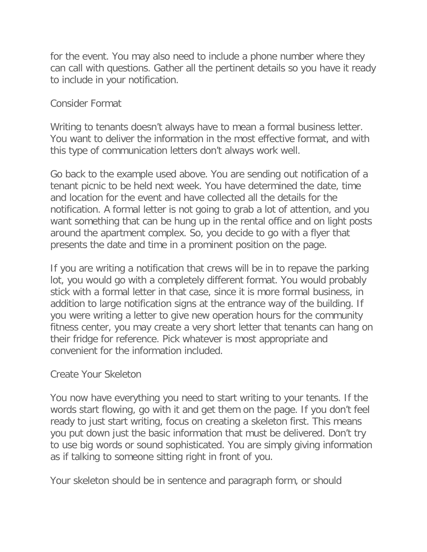for the event. You may also need to include a phone number where they can call with questions. Gather all the pertinent details so you have it ready to include in your notification.

## Consider Format

Writing to tenants doesn't always have to mean a formal business letter. You want to deliver the information in the most effective format, and with this type of communication letters don't always work well.

Go back to the example used above. You are sending out notification of a tenant picnic to be held next week. You have determined the date, time and location for the event and have collected all the details for the notification. A formal letter is not going to grab a lot of attention, and you want something that can be hung up in the rental office and on light posts around the apartment complex. So, you decide to go with a flyer that presents the date and time in a prominent position on the page.

If you are writing a notification that crews will be in to repave the parking lot, you would go with a completely different format. You would probably stick with a formal letter in that case, since it is more formal business, in addition to large notification signs at the entrance way of the building. If you were writing a letter to give new operation hours for the community fitness center, you may create a very short letter that tenants can hang on their fridge for reference. Pick whatever is most appropriate and convenient for the information included.

## Create Your Skeleton

You now have everything you need to start writing to your tenants. If the words start flowing, go with it and get them on the page. If you don't feel ready to just start writing, focus on creating a skeleton first. This means you put down just the basic information that must be delivered. Don't try to use big words or sound sophisticated. You are simply giving information as if talking to someone sitting right in front of you.

Your skeleton should be in sentence and paragraph form, or should